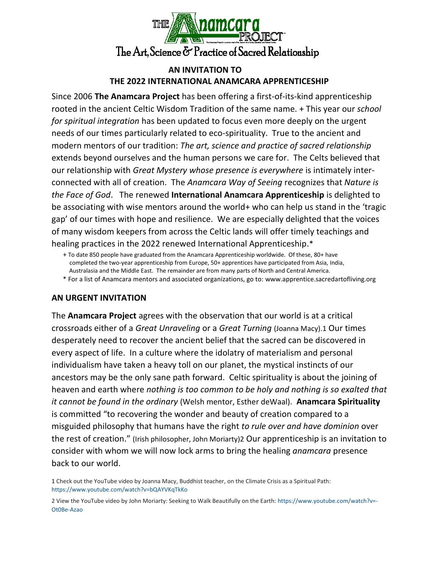

# **AN INVITATION TO THE 2022 INTERNATIONAL ANAMCARA APPRENTICESHIP**

Since 2006 **The Anamcara Project** has been offering a first-of-its-kind apprenticeship rooted in the ancient Celtic Wisdom Tradition of the same name. + This year our *school for spiritual integration* has been updated to focus even more deeply on the urgent needs of our times particularly related to eco-spirituality. True to the ancient and modern mentors of our tradition: *The art, science and practice of sacred relationship* extends beyond ourselves and the human persons we care for. The Celts believed that our relationship with *Great Mystery whose presence is everywhere* is intimately interconnected with all of creation. The *Anamcara Way of Seeing* recognizes that *Nature is the Face of God*. The renewed **International Anamcara Apprenticeship** is delighted to be associating with wise mentors around the world+ who can help us stand in the 'tragic gap' of our times with hope and resilience. We are especially delighted that the voices of many wisdom keepers from across the Celtic lands will offer timely teachings and healing practices in the 2022 renewed International Apprenticeship.\*

### **AN URGENT INVITATION**

The **Anamcara Project** agrees with the observation that our world is at a critical crossroads either of a *Great Unraveling* or a *Great Turning* (Joanna Macy).1 Our times desperately need to recover the ancient belief that the sacred can be discovered in every aspect of life. In a culture where the idolatry of materialism and personal individualism have taken a heavy toll on our planet, the mystical instincts of our ancestors may be the only sane path forward. Celtic spirituality is about the joining of heaven and earth where *nothing is too common to be holy and nothing is so exalted that it cannot be found in the ordinary* (Welsh mentor, Esther deWaal). **Anamcara Spirituality** is committed "to recovering the wonder and beauty of creation compared to a misguided philosophy that humans have the right *to rule over and have dominion* over the rest of creation." (Irish philosopher, John Moriarty)2 Our apprenticeship is an invitation to consider with whom we will now lock arms to bring the healing *anamcara* presence back to our world.

 <sup>+</sup> To date 850 people have graduated from the Anamcara Apprenticeship worldwide. Of these, 80+ have completed the two-year apprenticeship from Europe, 50+ apprentices have participated from Asia, India, Australasia and the Middle East. The remainder are from many parts of North and Central America.

\* For a list of Anamcara mentors and associated organizations, go to: www.apprentice.sacredartofliving.org

<sup>1</sup> Check out the YouTube video by Joanna Macy, Buddhist teacher, on the Climate Crisis as a Spiritual Path: https://www.youtube.com/watch?v=bQAYVKqTkKo

<sup>2</sup> View the YouTube video by John Moriarty: Seeking to Walk Beautifully on the Earth[: https://www.youtube.com/watch?v=-](https://www.youtube.com/watch?v=-Ot0Be-Azao) [Ot0Be-Azao](https://www.youtube.com/watch?v=-Ot0Be-Azao)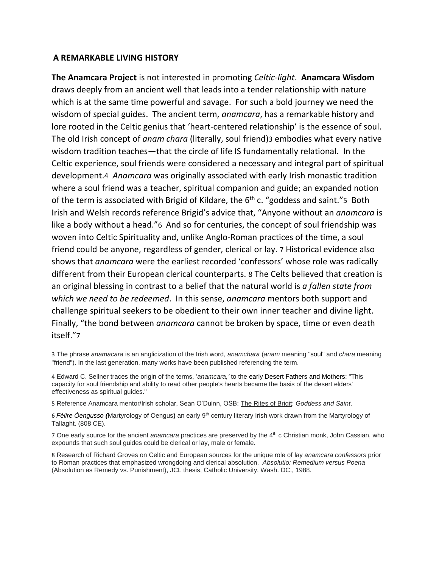#### **A REMARKABLE LIVING HISTORY**

**The Anamcara Project** is not interested in promoting *Celtic-light*. **Anamcara Wisdom** draws deeply from an ancient well that leads into a tender relationship with nature which is at the same time powerful and savage. For such a bold journey we need the wisdom of special guides. The ancient term, *anamcara*, has a remarkable history and lore rooted in the Celtic genius that 'heart-centered relationship' is the essence of soul. The old Irish concept of *anam chara* (literally, soul friend)3 embodies what every native wisdom tradition teaches—that the circle of life IS fundamentally relational. In the Celtic experience, soul friends were considered a necessary and integral part of spiritual development.4 *Anamcara* was originally associated with early Irish monastic tradition where a soul friend was a teacher, spiritual companion and guide; an expanded notion of the term is associated with Brigid of Kildare, the 6<sup>th</sup> c. "goddess and saint."5 Both Irish and Welsh records reference Brigid's advice that, "Anyone without an *anamcara* is like a body without a head."6 And so for centuries, the concept of soul friendship was woven into Celtic Spirituality and, unlike Anglo-Roman practices of the time, a soul friend could be anyone, regardless of gender, clerical or lay. 7 Historical evidence also shows that *anamcara* were the earliest recorded 'confessors' whose role was radically different from their European clerical counterparts. 8 The Celts believed that creation is an original blessing in contrast to a belief that the natural world is *a fallen state from which we need to be redeemed*. In this sense, *anamcara* mentors both support and challenge spiritual seekers to be obedient to their own inner teacher and divine light. Finally, "the bond between *anamcara* cannot be broken by space, time or even death itself."7

3 The phrase *anamacara* is an anglicization of the Irish word, *anamchara* (*anam* meaning ["soul"](https://en.wikipedia.org/wiki/Soul) and *chara* meaning "friend"). In the last generation, many works have been published referencing the term.

4 Edward C. Sellner traces the origin of the terms, '*anamcara,'* to the early Desert Fathers and Mothers: "This capacity for soul friendship and ability to read other people's hearts became the basis of the desert elders' effectiveness as spiritual guides."

5 Reference Anamcara mentor/Irish scholar, Sean O'Duinn, OSB: The Rites of Brigit: *Goddess and Saint*.

6 *Félire Óengusso (*Mar**t**yrology of Oengus**)** an early 9th century literary Irish work drawn from the Martyrology of Tallaght. (808 CE).

7 One early source for the ancient *anamcara* practices are preserved by the 4 th c Christian monk, John Cassian, who expounds that such soul quides could be clerical or lay, male or female.

8 Research of Richard Groves on Celtic and European sources for the unique role of lay *anamcara confessors* prior to Roman practices that emphasized wrongdoing and clerical absolution. *Absolutio: Remedium versus Poena* (Absolution as Remedy vs. Punishment), JCL thesis, Catholic University, Wash. DC., 1988.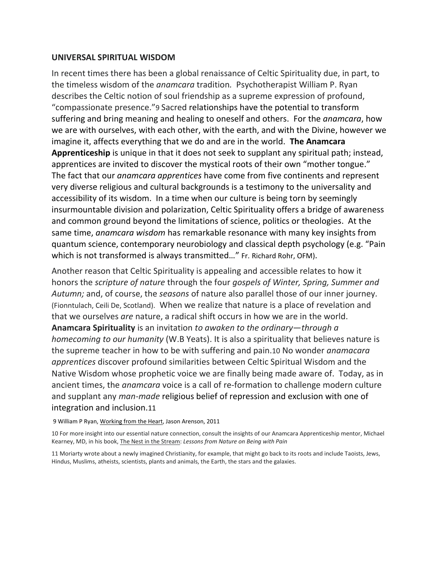#### **UNIVERSAL SPIRITUAL WISDOM**

In recent times there has been a global renaissance of Celtic Spirituality due, in part, to the timeless wisdom of the *anamcara* tradition*.* Psychotherapist William P. Ryan describes the Celtic notion of soul friendship as a supreme expression of profound, "compassionate presence."9 Sacred relationships have the potential to transform suffering and bring meaning and healing to oneself and others. For the *anamcara*, how we are with ourselves, with each other, with the earth, and with the Divine, however we imagine it, affects everything that we do and are in the world. **The Anamcara Apprenticeship** is unique in that it does not seek to supplant any spiritual path; instead, apprentices are invited to discover the mystical roots of their own "mother tongue." The fact that our *anamcara apprentices* have come from five continents and represent very diverse religious and cultural backgrounds is a testimony to the universality and accessibility of its wisdom. In a time when our culture is being torn by seemingly insurmountable division and polarization, Celtic Spirituality offers a bridge of awareness and common ground beyond the limitations of science, politics or theologies. At the same time, *anamcara wisdom* has remarkable resonance with many key insights from quantum science, contemporary neurobiology and classical depth psychology (e.g. "Pain which is not transformed is always transmitted…" Fr. Richard Rohr, OFM).

Another reason that Celtic Spirituality is appealing and accessible relates to how it honors the *scripture of nature* through the four *gospels of Winter, Spring, Summer and Autumn;* and, of course, the *seasons* of nature also parallel those of our inner journey*.* (Fionntulach, Ceili De, Scotland). When we realize that nature is a place of revelation and that we ourselves *are* nature, a radical shift occurs in how we are in the world. **Anamcara Spirituality** is an invitation *to awaken to the ordinary*—*through a homecoming to our humanity* (W.B Yeats). It is also a spirituality that believes nature is the supreme teacher in how to be with suffering and pain.10 No wonder *anamacara apprentices* discover profound similarities between Celtic Spiritual Wisdom and the Native Wisdom whose prophetic voice we are finally being made aware of. Today, as in ancient times, the *anamcara* voice is a call of re-formation to challenge modern culture and supplant any *man-made* religious belief of repression and exclusion with one of integration and inclusion.11

9 William P Ryan, Working from the Heart, Jason Arenson, 2011

10 For more insight into our essential nature connection, consult the insights of our Anamcara Apprenticeship mentor, Michael Kearney, MD, in his book, The Nest in the Stream: *Lessons from Nature on Being with Pain*

11 Moriarty wrote about a newly imagined Christianity, for example, that might go back to its roots and include Taoists, Jews, Hindus, Muslims, atheists, scientists, plants and animals, the Earth, the stars and the galaxies.